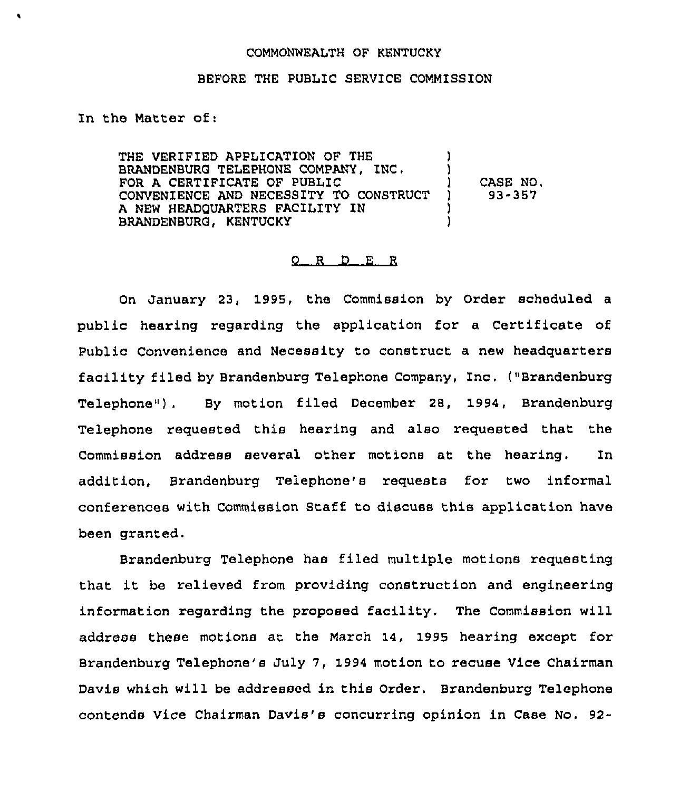## COMMONWEALTH OF KENTUCKY

## BEFORE THE PUBLIC SERVICE COMMISSION

In the Matter of:

THE VERIFIED APPLICATION OF THE BRANDENBURG TELEPHONE COMPANY, INC. FOR A CERTIFICATE OF PUBLIC CONVENIENCE AND NECESSITY TO CONSTRUCT A NEW HEADQUARTERS FACILITY IN BRANDENBURG, KENTUCKY ) ) ) CASE NO. ) 93-357 ) )

## 0 R D E R

On January 23, 1995, the Commission by Order scheduled a public hearing regarding the application for a Certificate of Public Convenience and Necessity to construct a new headquarters facility filed by Brandenburg Telephone Company, Inc. ("Brandenburg Telephone"). By motion filed December 28, 1994, Brandenburg Telephone requested this hearing and also requested that the Commission address several other motions at the hearing. In addition, Brandenburg Telephone's requests for two informal conferences with Commission Staff to discuss this application have been granted.

Brandenburg Telephone has filed multiple motions requesting that it be relieved from providing construction and engineering information regarding the proposed facility, The Commission will address these motions at the March 14, 1995 hearing except for Brandenburg Telephone's July 7, 1994 motion to recuse Vice Chairman Davis which will be addressed in this Order. Brandenburg Telephone contends Vice Chairman Davis'8 concurring opinion in Case No. 92-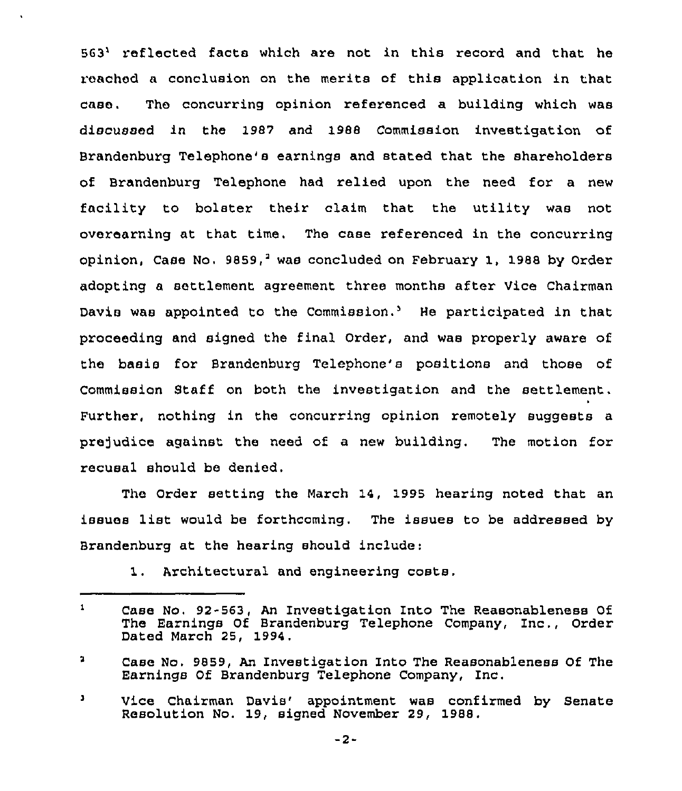563' reflected facts which are not in this record and that he reached a conclusion on the merits of this application in that case. The concurring opinion referenced a building which was discussed in the 1987 and 1988 Commission investigation of Brandenburg Telephone's earnings and stated that the shareholders of Brandenburg Telephone had relied upon the need for a new facility to bolster their claim that the utility was not overearning at that time. The case referenced in the concurring opinion, Case No. 9859,<sup>2</sup> was concluded on February 1, 1988 by Order adopting a settlement agreement three months after Vice Chairman Davis was appointed to the Commission. $^3$  He participated in that proceeding and signed the final Order, and was properly aware of the basis for Brandenburg Telephone's positions and those of Commission Staff on both the investigation and the settlement. Further, nothing in the concurring opinion remotely suggests a prejudice against the need of a new building, The motion for recusal should be denied,

The Order setting the March 14, 1995 hearing noted that an issues list would be forthcoming. The issues to be addressed by Brandenburg at the hearing should include:

1. Architectural and engineering costa.

- 2. Case No. 9859, An Investigation Into The Reasonableness Of The Earnings Of Brandenburg Telephone Company, Inc.
- э. Vice Chairman Davis' appointment was confirmed by Senate Resolution No. 19, signed November 29, 1988.

 $\mathbf{1}$ Case No. 92-563, An Investigation Into The Reasonableness Of The Earnings Of Brandenburg Telephone Company, Inc., Order Dated March 25, 1994.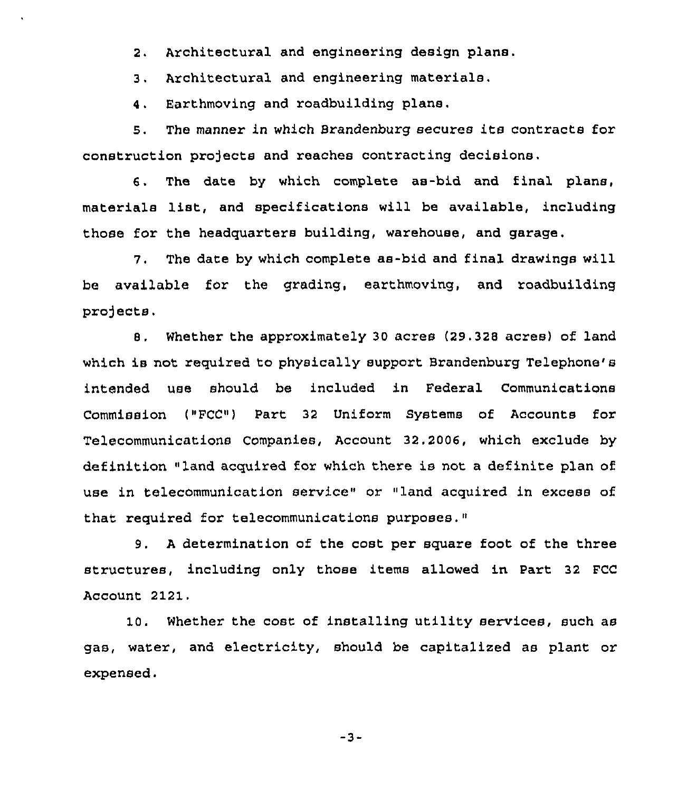2. Architectural and engineering design plans.

3. Architectural and engineering materials.

4. Earthmoving and roadbuilding plane.

5. The manner in which Brandenburg secures its contracts for construction projects and reaches contracting decisions.

6. The date by which complete as-bid and final plans, materials list, and specifications will be available, including those for the headquarters building, warehouse, and garage.

7. The date by which complete as-bid and final drawings will be available for the grading, earthmoving, and roadbuilding projects.

8, Whether the approximately 30 acres (29,328 acres) of land which is not required to physically support Brandenburg Telephone's intended use should be included in Federal Communications Commission ("FCC") Part 32 Uniform Systems of Accounts for Telecommunications Companies, Account 32.2006, which exclude by definition "land acquired for which there is not a definite plan of use in telecommunication service" or "land acquired in excess of that required for telecommunications purposes."

9. <sup>A</sup> determination of the cost per square foot of the three structuzes, including only those items allowed in Part 32 FCC Account 2121.

10. Whether the cost of installing utility services, such as gas, water, and electricity, should be capitalized as plant or expensed.

-3-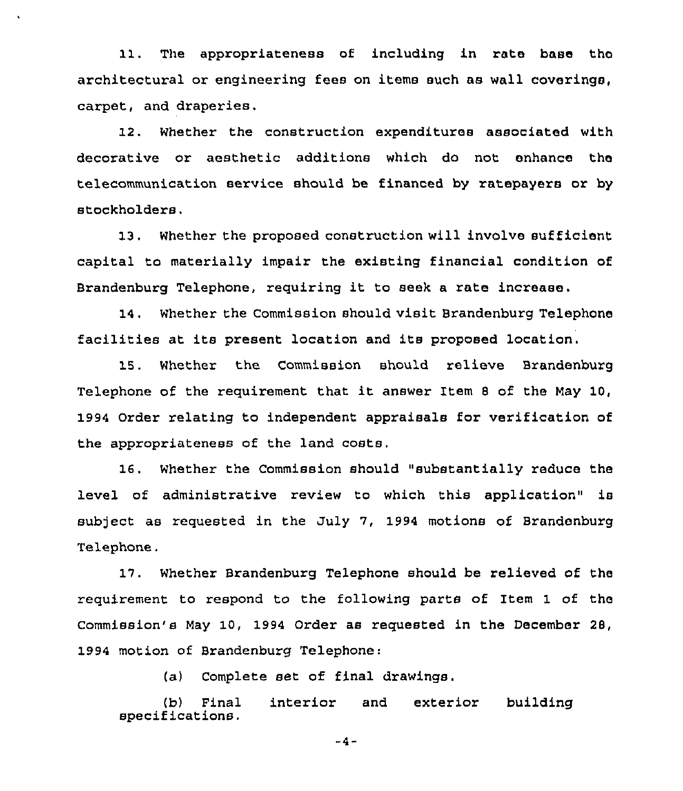11. The appropriateness of including in rate base the architectural or engineering fees on items such as wall coverings, carpet, and draperies.

12. Whether the construction expenditures associated with decorative or aesthetic additions which do not enhance the telecommunication service should be financed by ratepayers or by stockholders .

13. Whether the proposed construction will involve sufficient capital to materially impair the existing financial condition of Brandenbuzg Telephone, requiring it to seek <sup>a</sup> rate increase,

14. Whether the Commission should visit Brandenburg Telephone facilities at its present location and its proposed location.

15. Whether the Commission should relieve Brandenburg Telephone of the requirement that it answer Item <sup>8</sup> of the May 10, 1994 Order relating to independent appraisals for verification of the appropriateness of the land costs.

16. Whether the Commission should "substantially reduce the level of administrative review to which this application" is subject as requested in the July 7, 1994 motions of Brandenburg Telephone.

17. Whether Brandenburg Telephone should be zelieved of the requirement to respond to the following pazts of Item 1 of the Commission's May 10, 1994 Order as requested in the December 28, 1994 motion of Brandenburg Telephone:

(a) Complete set of final drawings.

(b) Final interior and exterior building specifications.

 $-4-$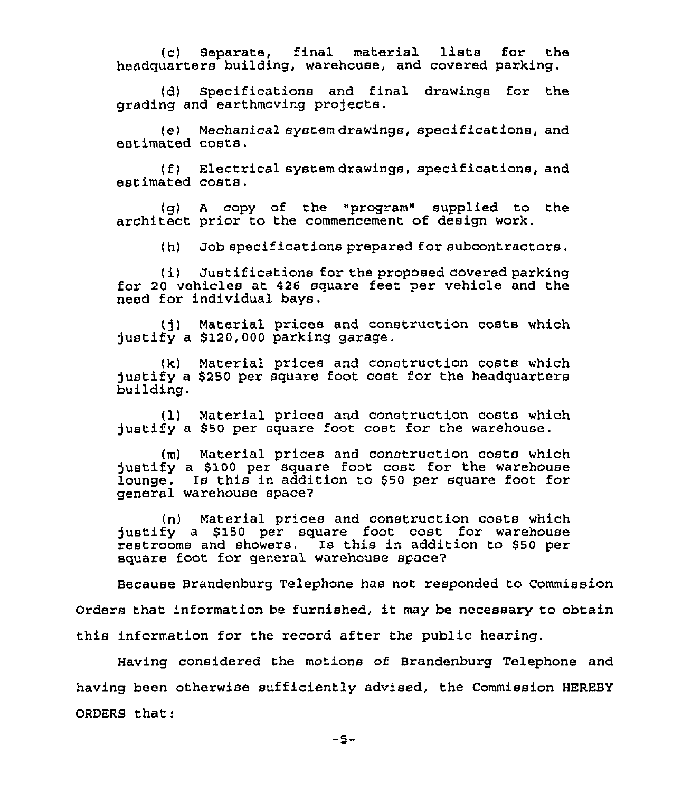(c) Separate, final material lists for the headquarters building, warehouse, and covered parking.

(d) Specifications and final drawings for the grading and earthmoving projects.

(e) Mechanical system drawings, speci ficat iona, and estimated costs.

(f) Electrical system drawings, specifications, and estimated costs,

(g) <sup>A</sup> copy of the "program" supplied to the architect prior to the commencement of design work.

(h) Job specifications prepared for subcontractors.

(i) Justifications for the proposed covered parking for 20 vehicles at 426 square feet per vehicle and the need for individual hays.

(j) Material prices and construction costs which justify a \$120,000 parking garage.

(k) Material prices and construction costs which justify a \$250 per square foot cost for the headquarters building.

(1) Material prices and construction costs which justify a \$50 per square foot cost for the warehouse.

(m) Material prices and construction costs which justify a \$100 per square foot cost for the warehouse lounge. Is this in addition to \$50 per square foot for general warehouse space?

Material prices and construction costs which justify a \$150 per square foot cost for warehous restrooms and showers. Is this in addition to \$50 per square foot for general warehouse space2

Because Brandenburg Telephone has not responded to Commission Orders that information be furnished, it may be necessary to obtain this information for the record after the public hearing.

Having considered the motions of Brandenburg Telephone and having been otherwise sufficiently advised, the Commission HEREBY ORDERS that: